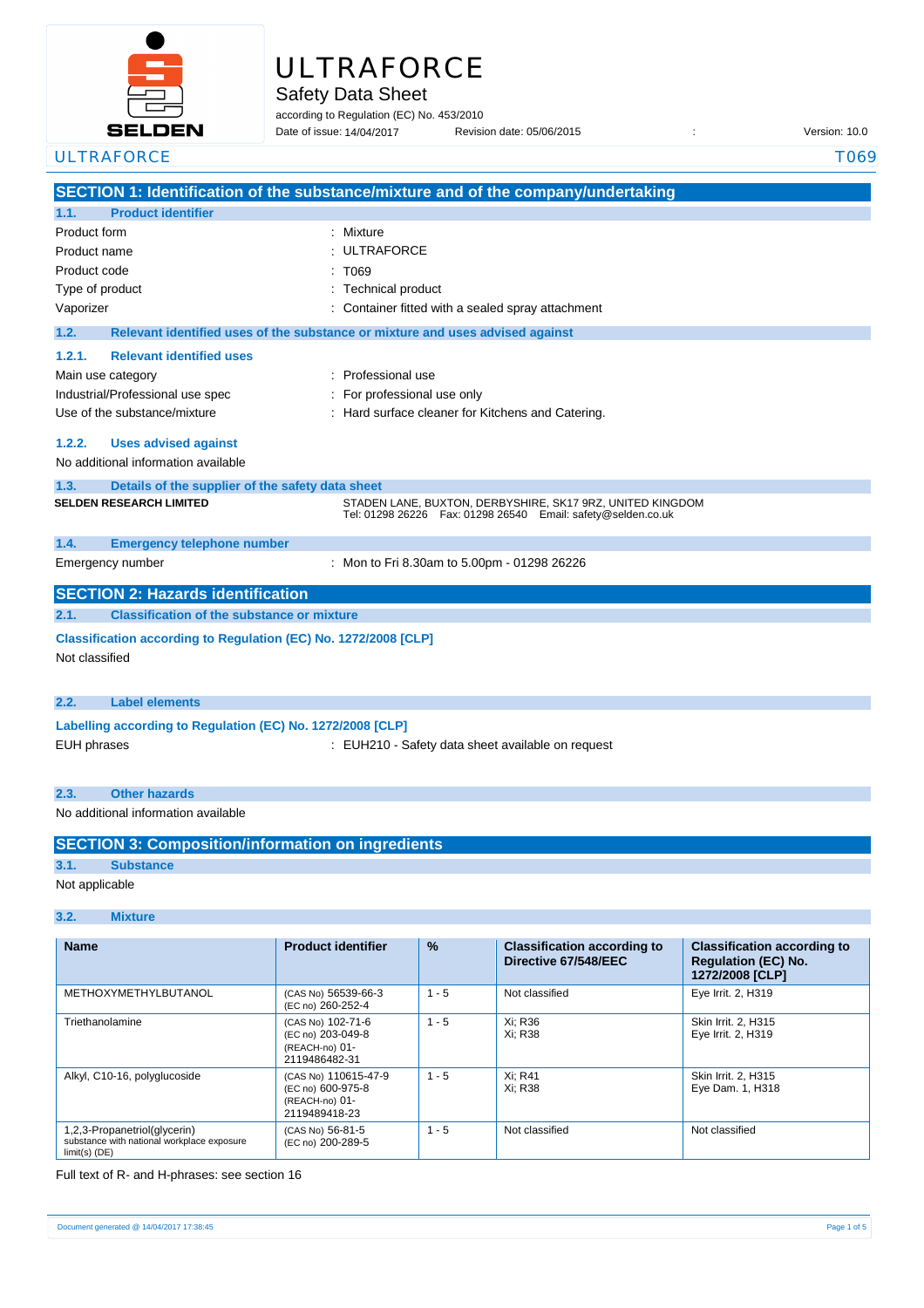

# **ULTRAFORCE**

Safety Data Sheet

according to Regulation (EC) No. 453/2010 Date of issue: 14/04/2017

Date of issue: Revision date: 05/06/2015 : Version: 10.0

|                    | <b>ULTRAFORCE</b>                                                                 |                                                                               | T069 |  |  |
|--------------------|-----------------------------------------------------------------------------------|-------------------------------------------------------------------------------|------|--|--|
|                    | SECTION 1: Identification of the substance/mixture and of the company/undertaking |                                                                               |      |  |  |
| 1.1.               | <b>Product identifier</b>                                                         |                                                                               |      |  |  |
| Product form       |                                                                                   | : Mixture                                                                     |      |  |  |
|                    | Product name                                                                      | <b>ULTRAFORCE</b>                                                             |      |  |  |
| Product code       |                                                                                   | T069                                                                          |      |  |  |
|                    | Type of product                                                                   | <b>Technical product</b>                                                      |      |  |  |
| Vaporizer          |                                                                                   | Container fitted with a sealed spray attachment                               |      |  |  |
| 1.2.               |                                                                                   | Relevant identified uses of the substance or mixture and uses advised against |      |  |  |
| 1.2.1.             | <b>Relevant identified uses</b>                                                   |                                                                               |      |  |  |
|                    | Main use category                                                                 | Professional use                                                              |      |  |  |
|                    | Industrial/Professional use spec                                                  | For professional use only                                                     |      |  |  |
|                    | Use of the substance/mixture                                                      | : Hard surface cleaner for Kitchens and Catering.                             |      |  |  |
| 1.2.2.             | <b>Uses advised against</b>                                                       |                                                                               |      |  |  |
|                    | No additional information available                                               |                                                                               |      |  |  |
| 1.3.               | Details of the supplier of the safety data sheet                                  |                                                                               |      |  |  |
|                    | <b>SELDEN RESEARCH LIMITED</b>                                                    | STADEN LANE, BUXTON, DERBYSHIRE, SK17 9RZ, UNITED KINGDOM                     |      |  |  |
|                    |                                                                                   | Tel: 01298 26226    Fax: 01298 26540    Email: safety@selden.co.uk            |      |  |  |
| 1.4.               | <b>Emergency telephone number</b>                                                 |                                                                               |      |  |  |
|                    | Emergency number                                                                  | : Mon to Fri 8.30am to 5.00pm - 01298 26226                                   |      |  |  |
|                    | <b>SECTION 2: Hazards identification</b>                                          |                                                                               |      |  |  |
| 2.1.               | <b>Classification of the substance or mixture</b>                                 |                                                                               |      |  |  |
|                    | Classification according to Regulation (EC) No. 1272/2008 [CLP]                   |                                                                               |      |  |  |
|                    | Not classified                                                                    |                                                                               |      |  |  |
|                    |                                                                                   |                                                                               |      |  |  |
| 2.2.               | <b>Label elements</b>                                                             |                                                                               |      |  |  |
|                    | Labelling according to Regulation (EC) No. 1272/2008 [CLP]                        |                                                                               |      |  |  |
| <b>EUH phrases</b> |                                                                                   | : EUH210 - Safety data sheet available on request                             |      |  |  |
|                    |                                                                                   |                                                                               |      |  |  |
| 2.3.               | <b>Other hazards</b>                                                              |                                                                               |      |  |  |
|                    | No additional information available                                               |                                                                               |      |  |  |

|      | <b>SECTION 3: Composition/information on ingredients</b> |
|------|----------------------------------------------------------|
| 3.1. | <b>Substance</b>                                         |

Not applicable

## **3.2. Mixture**

| <b>Name</b>                                                                                   | <b>Product identifier</b>                                                    | $\frac{9}{6}$ | <b>Classification according to</b><br>Directive 67/548/EEC | <b>Classification according to</b><br><b>Regulation (EC) No.</b><br>1272/2008 [CLP] |
|-----------------------------------------------------------------------------------------------|------------------------------------------------------------------------------|---------------|------------------------------------------------------------|-------------------------------------------------------------------------------------|
| METHOXYMETHYLBUTANOL                                                                          | (CAS No) 56539-66-3<br>(EC no) 260-252-4                                     | $1 - 5$       | Not classified                                             | Eye Irrit. 2, H319                                                                  |
| Triethanolamine                                                                               | (CAS No) 102-71-6<br>(EC no) 203-049-8<br>(REACH-no) 01-<br>2119486482-31    | $1 - 5$       | Xi: R36<br>Xi: R38                                         | Skin Irrit. 2, H315<br>Eye Irrit. 2, H319                                           |
| Alkyl, C10-16, polyglucoside                                                                  | (CAS No) 110615-47-9<br>(EC no) 600-975-8<br>(REACH-no) 01-<br>2119489418-23 | $1 - 5$       | Xi: R41<br>Xi: R38                                         | Skin Irrit. 2. H315<br>Eye Dam. 1, H318                                             |
| 1,2,3-Propanetriol(glycerin)<br>substance with national workplace exposure<br>$limit(s)$ (DE) | (CAS No) 56-81-5<br>(EC no) 200-289-5                                        | $1 - 5$       | Not classified                                             | Not classified                                                                      |

Full text of R- and H-phrases: see section 16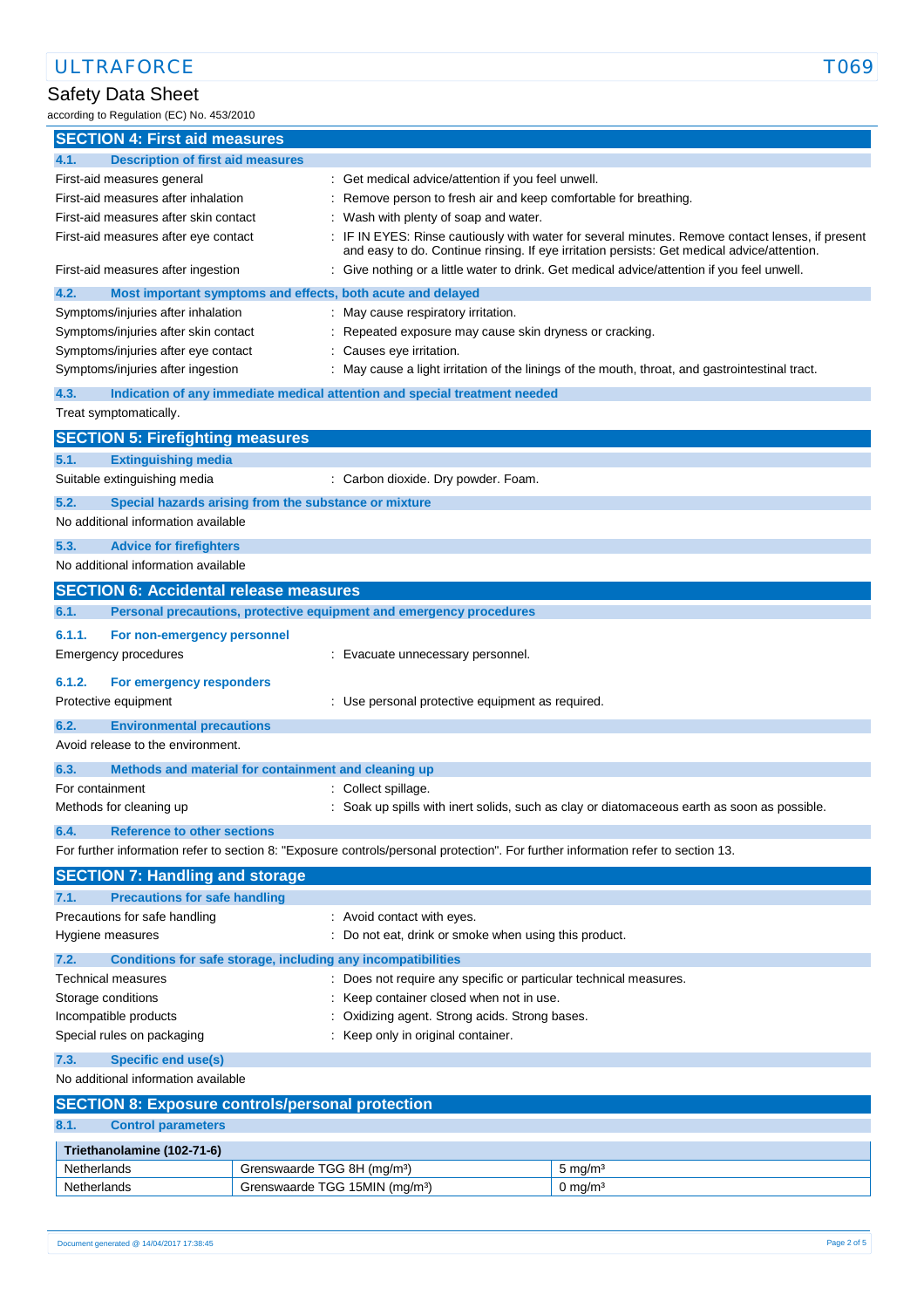# Safety Data Sheet

according to Regulation (EC) No. 453/2010

| <b>SECTION 4: First aid measures</b><br><b>Description of first aid measures</b><br>4.1.<br>First-aid measures general<br>: Get medical advice/attention if you feel unwell.<br>First-aid measures after inhalation<br>Remove person to fresh air and keep comfortable for breathing.<br>First-aid measures after skin contact<br>Wash with plenty of soap and water.<br>: IF IN EYES: Rinse cautiously with water for several minutes. Remove contact lenses, if present<br>First-aid measures after eye contact<br>and easy to do. Continue rinsing. If eye irritation persists: Get medical advice/attention.<br>: Give nothing or a little water to drink. Get medical advice/attention if you feel unwell.<br>First-aid measures after ingestion<br>4.2.<br>Most important symptoms and effects, both acute and delayed<br>Symptoms/injuries after inhalation<br>May cause respiratory irritation.<br>Symptoms/injuries after skin contact<br>Repeated exposure may cause skin dryness or cracking.<br>Causes eye irritation.<br>Symptoms/injuries after eye contact<br>Symptoms/injuries after ingestion<br>: May cause a light irritation of the linings of the mouth, throat, and gastrointestinal tract.<br>Indication of any immediate medical attention and special treatment needed<br>4.3.<br>Treat symptomatically.<br><b>SECTION 5: Firefighting measures</b><br>5.1.<br><b>Extinguishing media</b><br>Suitable extinguishing media<br>: Carbon dioxide. Dry powder. Foam.<br>5.2.<br>Special hazards arising from the substance or mixture<br>No additional information available<br>5.3.<br><b>Advice for firefighters</b><br>No additional information available<br><b>SECTION 6: Accidental release measures</b><br>Personal precautions, protective equipment and emergency procedures<br>6.1.<br>6.1.1.<br>For non-emergency personnel<br><b>Emergency procedures</b><br>: Evacuate unnecessary personnel.<br>6.1.2.<br>For emergency responders<br>Protective equipment<br>: Use personal protective equipment as required.<br>6.2.<br><b>Environmental precautions</b><br>Avoid release to the environment.<br>6.3.<br>Methods and material for containment and cleaning up<br>For containment<br>: Collect spillage.<br>: Soak up spills with inert solids, such as clay or diatomaceous earth as soon as possible.<br>Methods for cleaning up<br><b>Reference to other sections</b><br>6.4.<br>For further information refer to section 8: "Exposure controls/personal protection". For further information refer to section 13.<br><b>SECTION 7: Handling and storage</b><br><b>Precautions for safe handling</b><br>7.1.<br>Precautions for safe handling<br>: Avoid contact with eyes.<br>Hygiene measures<br>: Do not eat, drink or smoke when using this product.<br>7.2.<br>Conditions for safe storage, including any incompatibilities<br><b>Technical measures</b><br>Does not require any specific or particular technical measures.<br>Keep container closed when not in use.<br>Storage conditions<br>Oxidizing agent. Strong acids. Strong bases.<br>Incompatible products<br>Special rules on packaging<br>: Keep only in original container.<br>7.3.<br><b>Specific end use(s)</b><br>No additional information available<br><b>SECTION 8: Exposure controls/personal protection</b><br><b>Control parameters</b><br>8.1.<br>Triethanolamine (102-71-6)<br>Netherlands<br>Grenswaarde TGG 8H (mg/m <sup>3</sup> )<br>$5 \text{ mg/m}^3$ |  |  |  |  |  |
|---------------------------------------------------------------------------------------------------------------------------------------------------------------------------------------------------------------------------------------------------------------------------------------------------------------------------------------------------------------------------------------------------------------------------------------------------------------------------------------------------------------------------------------------------------------------------------------------------------------------------------------------------------------------------------------------------------------------------------------------------------------------------------------------------------------------------------------------------------------------------------------------------------------------------------------------------------------------------------------------------------------------------------------------------------------------------------------------------------------------------------------------------------------------------------------------------------------------------------------------------------------------------------------------------------------------------------------------------------------------------------------------------------------------------------------------------------------------------------------------------------------------------------------------------------------------------------------------------------------------------------------------------------------------------------------------------------------------------------------------------------------------------------------------------------------------------------------------------------------------------------------------------------------------------------------------------------------------------------------------------------------------------------------------------------------------------------------------------------------------------------------------------------------------------------------------------------------------------------------------------------------------------------------------------------------------------------------------------------------------------------------------------------------------------------------------------------------------------------------------------------------------------------------------------------------------------------------------------------------------------------------------------------------------------------------------------------------------------------------------------------------------------------------------------------------------------------------------------------------------------------------------------------------------------------------------------------------------------------------------------------------------------------------------------------------------------------------------------------------------------------------------------------------------------------------------------------------------------------------------------------------------------------------------------------------------------------------------------------------------------------------------------------------------------------------------------------------------------------|--|--|--|--|--|
|                                                                                                                                                                                                                                                                                                                                                                                                                                                                                                                                                                                                                                                                                                                                                                                                                                                                                                                                                                                                                                                                                                                                                                                                                                                                                                                                                                                                                                                                                                                                                                                                                                                                                                                                                                                                                                                                                                                                                                                                                                                                                                                                                                                                                                                                                                                                                                                                                                                                                                                                                                                                                                                                                                                                                                                                                                                                                                                                                                                                                                                                                                                                                                                                                                                                                                                                                                                                                                                                                 |  |  |  |  |  |
|                                                                                                                                                                                                                                                                                                                                                                                                                                                                                                                                                                                                                                                                                                                                                                                                                                                                                                                                                                                                                                                                                                                                                                                                                                                                                                                                                                                                                                                                                                                                                                                                                                                                                                                                                                                                                                                                                                                                                                                                                                                                                                                                                                                                                                                                                                                                                                                                                                                                                                                                                                                                                                                                                                                                                                                                                                                                                                                                                                                                                                                                                                                                                                                                                                                                                                                                                                                                                                                                                 |  |  |  |  |  |
|                                                                                                                                                                                                                                                                                                                                                                                                                                                                                                                                                                                                                                                                                                                                                                                                                                                                                                                                                                                                                                                                                                                                                                                                                                                                                                                                                                                                                                                                                                                                                                                                                                                                                                                                                                                                                                                                                                                                                                                                                                                                                                                                                                                                                                                                                                                                                                                                                                                                                                                                                                                                                                                                                                                                                                                                                                                                                                                                                                                                                                                                                                                                                                                                                                                                                                                                                                                                                                                                                 |  |  |  |  |  |
|                                                                                                                                                                                                                                                                                                                                                                                                                                                                                                                                                                                                                                                                                                                                                                                                                                                                                                                                                                                                                                                                                                                                                                                                                                                                                                                                                                                                                                                                                                                                                                                                                                                                                                                                                                                                                                                                                                                                                                                                                                                                                                                                                                                                                                                                                                                                                                                                                                                                                                                                                                                                                                                                                                                                                                                                                                                                                                                                                                                                                                                                                                                                                                                                                                                                                                                                                                                                                                                                                 |  |  |  |  |  |
|                                                                                                                                                                                                                                                                                                                                                                                                                                                                                                                                                                                                                                                                                                                                                                                                                                                                                                                                                                                                                                                                                                                                                                                                                                                                                                                                                                                                                                                                                                                                                                                                                                                                                                                                                                                                                                                                                                                                                                                                                                                                                                                                                                                                                                                                                                                                                                                                                                                                                                                                                                                                                                                                                                                                                                                                                                                                                                                                                                                                                                                                                                                                                                                                                                                                                                                                                                                                                                                                                 |  |  |  |  |  |
|                                                                                                                                                                                                                                                                                                                                                                                                                                                                                                                                                                                                                                                                                                                                                                                                                                                                                                                                                                                                                                                                                                                                                                                                                                                                                                                                                                                                                                                                                                                                                                                                                                                                                                                                                                                                                                                                                                                                                                                                                                                                                                                                                                                                                                                                                                                                                                                                                                                                                                                                                                                                                                                                                                                                                                                                                                                                                                                                                                                                                                                                                                                                                                                                                                                                                                                                                                                                                                                                                 |  |  |  |  |  |
|                                                                                                                                                                                                                                                                                                                                                                                                                                                                                                                                                                                                                                                                                                                                                                                                                                                                                                                                                                                                                                                                                                                                                                                                                                                                                                                                                                                                                                                                                                                                                                                                                                                                                                                                                                                                                                                                                                                                                                                                                                                                                                                                                                                                                                                                                                                                                                                                                                                                                                                                                                                                                                                                                                                                                                                                                                                                                                                                                                                                                                                                                                                                                                                                                                                                                                                                                                                                                                                                                 |  |  |  |  |  |
|                                                                                                                                                                                                                                                                                                                                                                                                                                                                                                                                                                                                                                                                                                                                                                                                                                                                                                                                                                                                                                                                                                                                                                                                                                                                                                                                                                                                                                                                                                                                                                                                                                                                                                                                                                                                                                                                                                                                                                                                                                                                                                                                                                                                                                                                                                                                                                                                                                                                                                                                                                                                                                                                                                                                                                                                                                                                                                                                                                                                                                                                                                                                                                                                                                                                                                                                                                                                                                                                                 |  |  |  |  |  |
|                                                                                                                                                                                                                                                                                                                                                                                                                                                                                                                                                                                                                                                                                                                                                                                                                                                                                                                                                                                                                                                                                                                                                                                                                                                                                                                                                                                                                                                                                                                                                                                                                                                                                                                                                                                                                                                                                                                                                                                                                                                                                                                                                                                                                                                                                                                                                                                                                                                                                                                                                                                                                                                                                                                                                                                                                                                                                                                                                                                                                                                                                                                                                                                                                                                                                                                                                                                                                                                                                 |  |  |  |  |  |
|                                                                                                                                                                                                                                                                                                                                                                                                                                                                                                                                                                                                                                                                                                                                                                                                                                                                                                                                                                                                                                                                                                                                                                                                                                                                                                                                                                                                                                                                                                                                                                                                                                                                                                                                                                                                                                                                                                                                                                                                                                                                                                                                                                                                                                                                                                                                                                                                                                                                                                                                                                                                                                                                                                                                                                                                                                                                                                                                                                                                                                                                                                                                                                                                                                                                                                                                                                                                                                                                                 |  |  |  |  |  |
|                                                                                                                                                                                                                                                                                                                                                                                                                                                                                                                                                                                                                                                                                                                                                                                                                                                                                                                                                                                                                                                                                                                                                                                                                                                                                                                                                                                                                                                                                                                                                                                                                                                                                                                                                                                                                                                                                                                                                                                                                                                                                                                                                                                                                                                                                                                                                                                                                                                                                                                                                                                                                                                                                                                                                                                                                                                                                                                                                                                                                                                                                                                                                                                                                                                                                                                                                                                                                                                                                 |  |  |  |  |  |
|                                                                                                                                                                                                                                                                                                                                                                                                                                                                                                                                                                                                                                                                                                                                                                                                                                                                                                                                                                                                                                                                                                                                                                                                                                                                                                                                                                                                                                                                                                                                                                                                                                                                                                                                                                                                                                                                                                                                                                                                                                                                                                                                                                                                                                                                                                                                                                                                                                                                                                                                                                                                                                                                                                                                                                                                                                                                                                                                                                                                                                                                                                                                                                                                                                                                                                                                                                                                                                                                                 |  |  |  |  |  |
|                                                                                                                                                                                                                                                                                                                                                                                                                                                                                                                                                                                                                                                                                                                                                                                                                                                                                                                                                                                                                                                                                                                                                                                                                                                                                                                                                                                                                                                                                                                                                                                                                                                                                                                                                                                                                                                                                                                                                                                                                                                                                                                                                                                                                                                                                                                                                                                                                                                                                                                                                                                                                                                                                                                                                                                                                                                                                                                                                                                                                                                                                                                                                                                                                                                                                                                                                                                                                                                                                 |  |  |  |  |  |
|                                                                                                                                                                                                                                                                                                                                                                                                                                                                                                                                                                                                                                                                                                                                                                                                                                                                                                                                                                                                                                                                                                                                                                                                                                                                                                                                                                                                                                                                                                                                                                                                                                                                                                                                                                                                                                                                                                                                                                                                                                                                                                                                                                                                                                                                                                                                                                                                                                                                                                                                                                                                                                                                                                                                                                                                                                                                                                                                                                                                                                                                                                                                                                                                                                                                                                                                                                                                                                                                                 |  |  |  |  |  |
|                                                                                                                                                                                                                                                                                                                                                                                                                                                                                                                                                                                                                                                                                                                                                                                                                                                                                                                                                                                                                                                                                                                                                                                                                                                                                                                                                                                                                                                                                                                                                                                                                                                                                                                                                                                                                                                                                                                                                                                                                                                                                                                                                                                                                                                                                                                                                                                                                                                                                                                                                                                                                                                                                                                                                                                                                                                                                                                                                                                                                                                                                                                                                                                                                                                                                                                                                                                                                                                                                 |  |  |  |  |  |
|                                                                                                                                                                                                                                                                                                                                                                                                                                                                                                                                                                                                                                                                                                                                                                                                                                                                                                                                                                                                                                                                                                                                                                                                                                                                                                                                                                                                                                                                                                                                                                                                                                                                                                                                                                                                                                                                                                                                                                                                                                                                                                                                                                                                                                                                                                                                                                                                                                                                                                                                                                                                                                                                                                                                                                                                                                                                                                                                                                                                                                                                                                                                                                                                                                                                                                                                                                                                                                                                                 |  |  |  |  |  |
|                                                                                                                                                                                                                                                                                                                                                                                                                                                                                                                                                                                                                                                                                                                                                                                                                                                                                                                                                                                                                                                                                                                                                                                                                                                                                                                                                                                                                                                                                                                                                                                                                                                                                                                                                                                                                                                                                                                                                                                                                                                                                                                                                                                                                                                                                                                                                                                                                                                                                                                                                                                                                                                                                                                                                                                                                                                                                                                                                                                                                                                                                                                                                                                                                                                                                                                                                                                                                                                                                 |  |  |  |  |  |
|                                                                                                                                                                                                                                                                                                                                                                                                                                                                                                                                                                                                                                                                                                                                                                                                                                                                                                                                                                                                                                                                                                                                                                                                                                                                                                                                                                                                                                                                                                                                                                                                                                                                                                                                                                                                                                                                                                                                                                                                                                                                                                                                                                                                                                                                                                                                                                                                                                                                                                                                                                                                                                                                                                                                                                                                                                                                                                                                                                                                                                                                                                                                                                                                                                                                                                                                                                                                                                                                                 |  |  |  |  |  |
|                                                                                                                                                                                                                                                                                                                                                                                                                                                                                                                                                                                                                                                                                                                                                                                                                                                                                                                                                                                                                                                                                                                                                                                                                                                                                                                                                                                                                                                                                                                                                                                                                                                                                                                                                                                                                                                                                                                                                                                                                                                                                                                                                                                                                                                                                                                                                                                                                                                                                                                                                                                                                                                                                                                                                                                                                                                                                                                                                                                                                                                                                                                                                                                                                                                                                                                                                                                                                                                                                 |  |  |  |  |  |
|                                                                                                                                                                                                                                                                                                                                                                                                                                                                                                                                                                                                                                                                                                                                                                                                                                                                                                                                                                                                                                                                                                                                                                                                                                                                                                                                                                                                                                                                                                                                                                                                                                                                                                                                                                                                                                                                                                                                                                                                                                                                                                                                                                                                                                                                                                                                                                                                                                                                                                                                                                                                                                                                                                                                                                                                                                                                                                                                                                                                                                                                                                                                                                                                                                                                                                                                                                                                                                                                                 |  |  |  |  |  |
|                                                                                                                                                                                                                                                                                                                                                                                                                                                                                                                                                                                                                                                                                                                                                                                                                                                                                                                                                                                                                                                                                                                                                                                                                                                                                                                                                                                                                                                                                                                                                                                                                                                                                                                                                                                                                                                                                                                                                                                                                                                                                                                                                                                                                                                                                                                                                                                                                                                                                                                                                                                                                                                                                                                                                                                                                                                                                                                                                                                                                                                                                                                                                                                                                                                                                                                                                                                                                                                                                 |  |  |  |  |  |
|                                                                                                                                                                                                                                                                                                                                                                                                                                                                                                                                                                                                                                                                                                                                                                                                                                                                                                                                                                                                                                                                                                                                                                                                                                                                                                                                                                                                                                                                                                                                                                                                                                                                                                                                                                                                                                                                                                                                                                                                                                                                                                                                                                                                                                                                                                                                                                                                                                                                                                                                                                                                                                                                                                                                                                                                                                                                                                                                                                                                                                                                                                                                                                                                                                                                                                                                                                                                                                                                                 |  |  |  |  |  |
|                                                                                                                                                                                                                                                                                                                                                                                                                                                                                                                                                                                                                                                                                                                                                                                                                                                                                                                                                                                                                                                                                                                                                                                                                                                                                                                                                                                                                                                                                                                                                                                                                                                                                                                                                                                                                                                                                                                                                                                                                                                                                                                                                                                                                                                                                                                                                                                                                                                                                                                                                                                                                                                                                                                                                                                                                                                                                                                                                                                                                                                                                                                                                                                                                                                                                                                                                                                                                                                                                 |  |  |  |  |  |
|                                                                                                                                                                                                                                                                                                                                                                                                                                                                                                                                                                                                                                                                                                                                                                                                                                                                                                                                                                                                                                                                                                                                                                                                                                                                                                                                                                                                                                                                                                                                                                                                                                                                                                                                                                                                                                                                                                                                                                                                                                                                                                                                                                                                                                                                                                                                                                                                                                                                                                                                                                                                                                                                                                                                                                                                                                                                                                                                                                                                                                                                                                                                                                                                                                                                                                                                                                                                                                                                                 |  |  |  |  |  |
|                                                                                                                                                                                                                                                                                                                                                                                                                                                                                                                                                                                                                                                                                                                                                                                                                                                                                                                                                                                                                                                                                                                                                                                                                                                                                                                                                                                                                                                                                                                                                                                                                                                                                                                                                                                                                                                                                                                                                                                                                                                                                                                                                                                                                                                                                                                                                                                                                                                                                                                                                                                                                                                                                                                                                                                                                                                                                                                                                                                                                                                                                                                                                                                                                                                                                                                                                                                                                                                                                 |  |  |  |  |  |
|                                                                                                                                                                                                                                                                                                                                                                                                                                                                                                                                                                                                                                                                                                                                                                                                                                                                                                                                                                                                                                                                                                                                                                                                                                                                                                                                                                                                                                                                                                                                                                                                                                                                                                                                                                                                                                                                                                                                                                                                                                                                                                                                                                                                                                                                                                                                                                                                                                                                                                                                                                                                                                                                                                                                                                                                                                                                                                                                                                                                                                                                                                                                                                                                                                                                                                                                                                                                                                                                                 |  |  |  |  |  |
|                                                                                                                                                                                                                                                                                                                                                                                                                                                                                                                                                                                                                                                                                                                                                                                                                                                                                                                                                                                                                                                                                                                                                                                                                                                                                                                                                                                                                                                                                                                                                                                                                                                                                                                                                                                                                                                                                                                                                                                                                                                                                                                                                                                                                                                                                                                                                                                                                                                                                                                                                                                                                                                                                                                                                                                                                                                                                                                                                                                                                                                                                                                                                                                                                                                                                                                                                                                                                                                                                 |  |  |  |  |  |
|                                                                                                                                                                                                                                                                                                                                                                                                                                                                                                                                                                                                                                                                                                                                                                                                                                                                                                                                                                                                                                                                                                                                                                                                                                                                                                                                                                                                                                                                                                                                                                                                                                                                                                                                                                                                                                                                                                                                                                                                                                                                                                                                                                                                                                                                                                                                                                                                                                                                                                                                                                                                                                                                                                                                                                                                                                                                                                                                                                                                                                                                                                                                                                                                                                                                                                                                                                                                                                                                                 |  |  |  |  |  |
|                                                                                                                                                                                                                                                                                                                                                                                                                                                                                                                                                                                                                                                                                                                                                                                                                                                                                                                                                                                                                                                                                                                                                                                                                                                                                                                                                                                                                                                                                                                                                                                                                                                                                                                                                                                                                                                                                                                                                                                                                                                                                                                                                                                                                                                                                                                                                                                                                                                                                                                                                                                                                                                                                                                                                                                                                                                                                                                                                                                                                                                                                                                                                                                                                                                                                                                                                                                                                                                                                 |  |  |  |  |  |
|                                                                                                                                                                                                                                                                                                                                                                                                                                                                                                                                                                                                                                                                                                                                                                                                                                                                                                                                                                                                                                                                                                                                                                                                                                                                                                                                                                                                                                                                                                                                                                                                                                                                                                                                                                                                                                                                                                                                                                                                                                                                                                                                                                                                                                                                                                                                                                                                                                                                                                                                                                                                                                                                                                                                                                                                                                                                                                                                                                                                                                                                                                                                                                                                                                                                                                                                                                                                                                                                                 |  |  |  |  |  |
|                                                                                                                                                                                                                                                                                                                                                                                                                                                                                                                                                                                                                                                                                                                                                                                                                                                                                                                                                                                                                                                                                                                                                                                                                                                                                                                                                                                                                                                                                                                                                                                                                                                                                                                                                                                                                                                                                                                                                                                                                                                                                                                                                                                                                                                                                                                                                                                                                                                                                                                                                                                                                                                                                                                                                                                                                                                                                                                                                                                                                                                                                                                                                                                                                                                                                                                                                                                                                                                                                 |  |  |  |  |  |
|                                                                                                                                                                                                                                                                                                                                                                                                                                                                                                                                                                                                                                                                                                                                                                                                                                                                                                                                                                                                                                                                                                                                                                                                                                                                                                                                                                                                                                                                                                                                                                                                                                                                                                                                                                                                                                                                                                                                                                                                                                                                                                                                                                                                                                                                                                                                                                                                                                                                                                                                                                                                                                                                                                                                                                                                                                                                                                                                                                                                                                                                                                                                                                                                                                                                                                                                                                                                                                                                                 |  |  |  |  |  |
|                                                                                                                                                                                                                                                                                                                                                                                                                                                                                                                                                                                                                                                                                                                                                                                                                                                                                                                                                                                                                                                                                                                                                                                                                                                                                                                                                                                                                                                                                                                                                                                                                                                                                                                                                                                                                                                                                                                                                                                                                                                                                                                                                                                                                                                                                                                                                                                                                                                                                                                                                                                                                                                                                                                                                                                                                                                                                                                                                                                                                                                                                                                                                                                                                                                                                                                                                                                                                                                                                 |  |  |  |  |  |
|                                                                                                                                                                                                                                                                                                                                                                                                                                                                                                                                                                                                                                                                                                                                                                                                                                                                                                                                                                                                                                                                                                                                                                                                                                                                                                                                                                                                                                                                                                                                                                                                                                                                                                                                                                                                                                                                                                                                                                                                                                                                                                                                                                                                                                                                                                                                                                                                                                                                                                                                                                                                                                                                                                                                                                                                                                                                                                                                                                                                                                                                                                                                                                                                                                                                                                                                                                                                                                                                                 |  |  |  |  |  |
|                                                                                                                                                                                                                                                                                                                                                                                                                                                                                                                                                                                                                                                                                                                                                                                                                                                                                                                                                                                                                                                                                                                                                                                                                                                                                                                                                                                                                                                                                                                                                                                                                                                                                                                                                                                                                                                                                                                                                                                                                                                                                                                                                                                                                                                                                                                                                                                                                                                                                                                                                                                                                                                                                                                                                                                                                                                                                                                                                                                                                                                                                                                                                                                                                                                                                                                                                                                                                                                                                 |  |  |  |  |  |
|                                                                                                                                                                                                                                                                                                                                                                                                                                                                                                                                                                                                                                                                                                                                                                                                                                                                                                                                                                                                                                                                                                                                                                                                                                                                                                                                                                                                                                                                                                                                                                                                                                                                                                                                                                                                                                                                                                                                                                                                                                                                                                                                                                                                                                                                                                                                                                                                                                                                                                                                                                                                                                                                                                                                                                                                                                                                                                                                                                                                                                                                                                                                                                                                                                                                                                                                                                                                                                                                                 |  |  |  |  |  |
|                                                                                                                                                                                                                                                                                                                                                                                                                                                                                                                                                                                                                                                                                                                                                                                                                                                                                                                                                                                                                                                                                                                                                                                                                                                                                                                                                                                                                                                                                                                                                                                                                                                                                                                                                                                                                                                                                                                                                                                                                                                                                                                                                                                                                                                                                                                                                                                                                                                                                                                                                                                                                                                                                                                                                                                                                                                                                                                                                                                                                                                                                                                                                                                                                                                                                                                                                                                                                                                                                 |  |  |  |  |  |
|                                                                                                                                                                                                                                                                                                                                                                                                                                                                                                                                                                                                                                                                                                                                                                                                                                                                                                                                                                                                                                                                                                                                                                                                                                                                                                                                                                                                                                                                                                                                                                                                                                                                                                                                                                                                                                                                                                                                                                                                                                                                                                                                                                                                                                                                                                                                                                                                                                                                                                                                                                                                                                                                                                                                                                                                                                                                                                                                                                                                                                                                                                                                                                                                                                                                                                                                                                                                                                                                                 |  |  |  |  |  |
|                                                                                                                                                                                                                                                                                                                                                                                                                                                                                                                                                                                                                                                                                                                                                                                                                                                                                                                                                                                                                                                                                                                                                                                                                                                                                                                                                                                                                                                                                                                                                                                                                                                                                                                                                                                                                                                                                                                                                                                                                                                                                                                                                                                                                                                                                                                                                                                                                                                                                                                                                                                                                                                                                                                                                                                                                                                                                                                                                                                                                                                                                                                                                                                                                                                                                                                                                                                                                                                                                 |  |  |  |  |  |
|                                                                                                                                                                                                                                                                                                                                                                                                                                                                                                                                                                                                                                                                                                                                                                                                                                                                                                                                                                                                                                                                                                                                                                                                                                                                                                                                                                                                                                                                                                                                                                                                                                                                                                                                                                                                                                                                                                                                                                                                                                                                                                                                                                                                                                                                                                                                                                                                                                                                                                                                                                                                                                                                                                                                                                                                                                                                                                                                                                                                                                                                                                                                                                                                                                                                                                                                                                                                                                                                                 |  |  |  |  |  |
|                                                                                                                                                                                                                                                                                                                                                                                                                                                                                                                                                                                                                                                                                                                                                                                                                                                                                                                                                                                                                                                                                                                                                                                                                                                                                                                                                                                                                                                                                                                                                                                                                                                                                                                                                                                                                                                                                                                                                                                                                                                                                                                                                                                                                                                                                                                                                                                                                                                                                                                                                                                                                                                                                                                                                                                                                                                                                                                                                                                                                                                                                                                                                                                                                                                                                                                                                                                                                                                                                 |  |  |  |  |  |
|                                                                                                                                                                                                                                                                                                                                                                                                                                                                                                                                                                                                                                                                                                                                                                                                                                                                                                                                                                                                                                                                                                                                                                                                                                                                                                                                                                                                                                                                                                                                                                                                                                                                                                                                                                                                                                                                                                                                                                                                                                                                                                                                                                                                                                                                                                                                                                                                                                                                                                                                                                                                                                                                                                                                                                                                                                                                                                                                                                                                                                                                                                                                                                                                                                                                                                                                                                                                                                                                                 |  |  |  |  |  |
|                                                                                                                                                                                                                                                                                                                                                                                                                                                                                                                                                                                                                                                                                                                                                                                                                                                                                                                                                                                                                                                                                                                                                                                                                                                                                                                                                                                                                                                                                                                                                                                                                                                                                                                                                                                                                                                                                                                                                                                                                                                                                                                                                                                                                                                                                                                                                                                                                                                                                                                                                                                                                                                                                                                                                                                                                                                                                                                                                                                                                                                                                                                                                                                                                                                                                                                                                                                                                                                                                 |  |  |  |  |  |
|                                                                                                                                                                                                                                                                                                                                                                                                                                                                                                                                                                                                                                                                                                                                                                                                                                                                                                                                                                                                                                                                                                                                                                                                                                                                                                                                                                                                                                                                                                                                                                                                                                                                                                                                                                                                                                                                                                                                                                                                                                                                                                                                                                                                                                                                                                                                                                                                                                                                                                                                                                                                                                                                                                                                                                                                                                                                                                                                                                                                                                                                                                                                                                                                                                                                                                                                                                                                                                                                                 |  |  |  |  |  |
|                                                                                                                                                                                                                                                                                                                                                                                                                                                                                                                                                                                                                                                                                                                                                                                                                                                                                                                                                                                                                                                                                                                                                                                                                                                                                                                                                                                                                                                                                                                                                                                                                                                                                                                                                                                                                                                                                                                                                                                                                                                                                                                                                                                                                                                                                                                                                                                                                                                                                                                                                                                                                                                                                                                                                                                                                                                                                                                                                                                                                                                                                                                                                                                                                                                                                                                                                                                                                                                                                 |  |  |  |  |  |
|                                                                                                                                                                                                                                                                                                                                                                                                                                                                                                                                                                                                                                                                                                                                                                                                                                                                                                                                                                                                                                                                                                                                                                                                                                                                                                                                                                                                                                                                                                                                                                                                                                                                                                                                                                                                                                                                                                                                                                                                                                                                                                                                                                                                                                                                                                                                                                                                                                                                                                                                                                                                                                                                                                                                                                                                                                                                                                                                                                                                                                                                                                                                                                                                                                                                                                                                                                                                                                                                                 |  |  |  |  |  |
|                                                                                                                                                                                                                                                                                                                                                                                                                                                                                                                                                                                                                                                                                                                                                                                                                                                                                                                                                                                                                                                                                                                                                                                                                                                                                                                                                                                                                                                                                                                                                                                                                                                                                                                                                                                                                                                                                                                                                                                                                                                                                                                                                                                                                                                                                                                                                                                                                                                                                                                                                                                                                                                                                                                                                                                                                                                                                                                                                                                                                                                                                                                                                                                                                                                                                                                                                                                                                                                                                 |  |  |  |  |  |
|                                                                                                                                                                                                                                                                                                                                                                                                                                                                                                                                                                                                                                                                                                                                                                                                                                                                                                                                                                                                                                                                                                                                                                                                                                                                                                                                                                                                                                                                                                                                                                                                                                                                                                                                                                                                                                                                                                                                                                                                                                                                                                                                                                                                                                                                                                                                                                                                                                                                                                                                                                                                                                                                                                                                                                                                                                                                                                                                                                                                                                                                                                                                                                                                                                                                                                                                                                                                                                                                                 |  |  |  |  |  |
|                                                                                                                                                                                                                                                                                                                                                                                                                                                                                                                                                                                                                                                                                                                                                                                                                                                                                                                                                                                                                                                                                                                                                                                                                                                                                                                                                                                                                                                                                                                                                                                                                                                                                                                                                                                                                                                                                                                                                                                                                                                                                                                                                                                                                                                                                                                                                                                                                                                                                                                                                                                                                                                                                                                                                                                                                                                                                                                                                                                                                                                                                                                                                                                                                                                                                                                                                                                                                                                                                 |  |  |  |  |  |
|                                                                                                                                                                                                                                                                                                                                                                                                                                                                                                                                                                                                                                                                                                                                                                                                                                                                                                                                                                                                                                                                                                                                                                                                                                                                                                                                                                                                                                                                                                                                                                                                                                                                                                                                                                                                                                                                                                                                                                                                                                                                                                                                                                                                                                                                                                                                                                                                                                                                                                                                                                                                                                                                                                                                                                                                                                                                                                                                                                                                                                                                                                                                                                                                                                                                                                                                                                                                                                                                                 |  |  |  |  |  |
| Grenswaarde TGG 15MIN (mg/m <sup>3</sup> )<br>$0$ mg/m <sup>3</sup><br>Netherlands                                                                                                                                                                                                                                                                                                                                                                                                                                                                                                                                                                                                                                                                                                                                                                                                                                                                                                                                                                                                                                                                                                                                                                                                                                                                                                                                                                                                                                                                                                                                                                                                                                                                                                                                                                                                                                                                                                                                                                                                                                                                                                                                                                                                                                                                                                                                                                                                                                                                                                                                                                                                                                                                                                                                                                                                                                                                                                                                                                                                                                                                                                                                                                                                                                                                                                                                                                                              |  |  |  |  |  |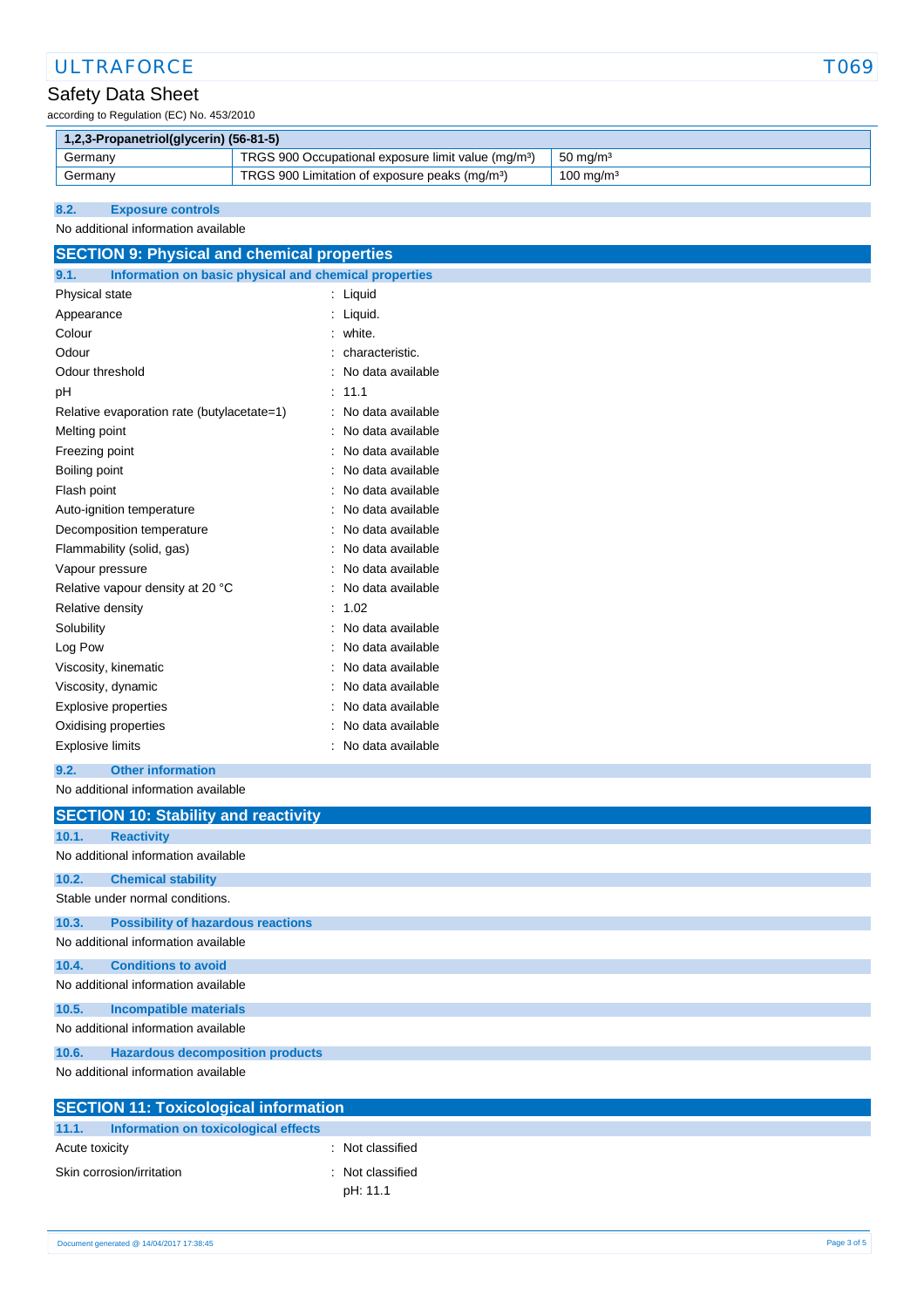# ULTRAFORCE TO THE TOTAL TO THE TOTAL TO THE TOTAL TO THE TOTAL TO THE TOTAL TO THE TO THE TO THE TO THE TOTAL TO THE TO THE TOTAL TO THE TOTAL TO THE TOTAL TO THE TOTAL THE TOTAL THE TOTAL THE THE THE THE THE THE THE THE T

# Safety Data Sheet

according to Regulation (EC) No. 453/2010

| $\mid$ 1,2,3-Propanetriol(glycerin) (56-81-5)                                                     |  |  |  |  |
|---------------------------------------------------------------------------------------------------|--|--|--|--|
| TRGS 900 Occupational exposure limit value (mg/m <sup>3</sup> )<br>$50 \text{ ma/m}^3$<br>Germany |  |  |  |  |
| TRGS 900 Limitation of exposure peaks (mg/m <sup>3</sup> )<br>$100 \text{ mg/m}^3$<br>Germany     |  |  |  |  |

## **8.2. Exposure controls**

## No additional information available

| <b>SECTION 9: Physical and chemical properties</b>            |                     |  |  |
|---------------------------------------------------------------|---------------------|--|--|
| Information on basic physical and chemical properties<br>9.1. |                     |  |  |
| Physical state                                                | : Liquid            |  |  |
| Appearance                                                    | : Liquid.           |  |  |
| Colour                                                        | : white.            |  |  |
| Odour                                                         | : characteristic.   |  |  |
| Odour threshold                                               | No data available   |  |  |
| pH                                                            | : 11.1              |  |  |
| Relative evaporation rate (butylacetate=1)                    | : No data available |  |  |
| Melting point                                                 | : No data available |  |  |
| Freezing point                                                | : No data available |  |  |
| Boiling point                                                 | : No data available |  |  |
| Flash point                                                   | : No data available |  |  |
| Auto-ignition temperature                                     | No data available   |  |  |
| Decomposition temperature                                     | : No data available |  |  |
| Flammability (solid, gas)                                     | : No data available |  |  |
| Vapour pressure                                               | No data available   |  |  |
| Relative vapour density at 20 °C                              | No data available   |  |  |
| Relative density                                              | : 1.02              |  |  |
| Solubility                                                    | No data available   |  |  |
| Log Pow                                                       | No data available   |  |  |
| Viscosity, kinematic                                          | : No data available |  |  |
| Viscosity, dynamic                                            | No data available   |  |  |
| <b>Explosive properties</b>                                   | No data available   |  |  |
| Oxidising properties                                          | No data available   |  |  |
| <b>Explosive limits</b>                                       | : No data available |  |  |
| <b>Other information</b><br>9.2.                              |                     |  |  |
| No additional information available                           |                     |  |  |

# **SECTION 10: Stability and reactivity 10.1. Reactivity** No additional information available **10.2. Chemical stability** Stable under normal conditions. **10.3. Possibility of hazardous reactions** No additional information available **10.4. Conditions to avoid** No additional information available **10.5. Incompatible materials** No additional information available **10.6. Hazardous decomposition products** No additional information available

| <b>SECTION 11: Toxicological information</b>  |                |  |  |
|-----------------------------------------------|----------------|--|--|
| 11.1.<br>Information on toxicological effects |                |  |  |
| Acute toxicity                                | Not classified |  |  |
| Skin corrosion/irritation                     | Not classified |  |  |
|                                               | pH: 11.1       |  |  |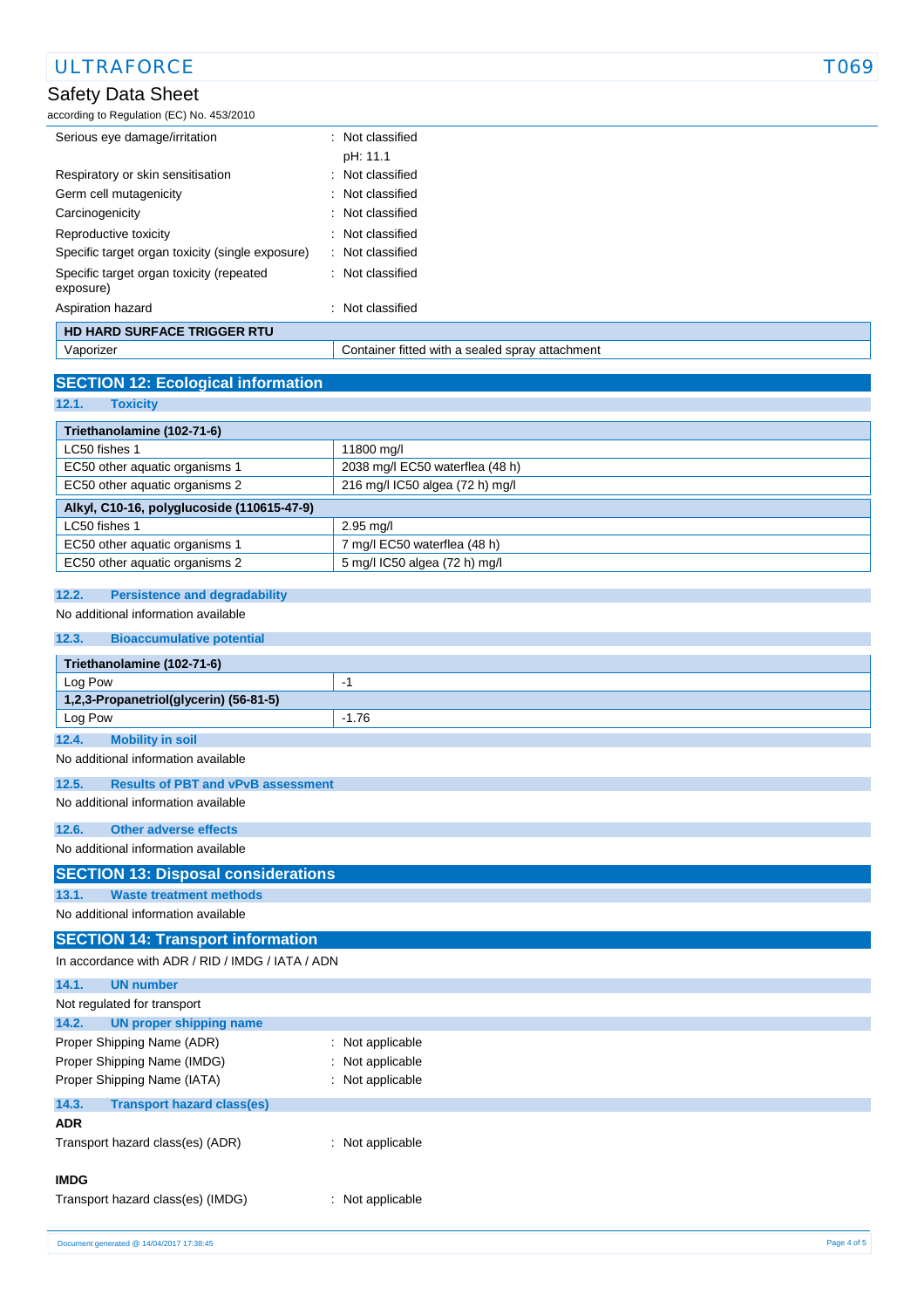# Safety Data Sheet according to Regulation (EC) No. 453/2010 Serious eye damage/irritation : Not classified pH: 11.1 Respiratory or skin sensitisation : Not classified Germ cell mutagenicity **Second Contract Contract Contract Contract Contract Contract Contract Contract Contract Contract Contract Contract Contract Contract Contract Contract Contract Contract Contract Contract Contract Co** Carcinogenicity **Carcinogenicity 1999 Carcinogenicity Carcinogenicity Carcinogenicity** Reproductive toxicity **in the set of the CR**eproductive toxicity Specific target organ toxicity (single exposure) : Not classified Specific target organ toxicity (repeated exposure) : Not classified Aspiration hazard : Not classified **HD HARD SURFACE TRIGGER RTU** Vaporizer Container fitted with a sealed spray attachment ULTRAFORCE TO THE TOTAL TO THE TOTAL TO THE TOTAL TO THE TOTAL TO THE TOTAL TO THE TOTAL TO THE TO THE TOTAL TO THE TO THE TOTAL TO THE TOTAL TO THE TOTAL TO THE TOTAL TO THE TOTAL THE TOTAL THE TOTAL THE TOTAL THE TOTAL T

# **SECTION 12: Ecological information**

**12.1. Toxicity**

| Triethanolamine (102-71-6)                 |                                 |  |
|--------------------------------------------|---------------------------------|--|
| LC50 fishes 1                              | 11800 mg/l                      |  |
| EC50 other aquatic organisms 1             | 2038 mg/l EC50 waterflea (48 h) |  |
| EC50 other aquatic organisms 2             | 216 mg/l IC50 algea (72 h) mg/l |  |
| Alkyl, C10-16, polyglucoside (110615-47-9) |                                 |  |
| LC50 fishes 1                              | $2.95$ mg/l                     |  |
| EC50 other aquatic organisms 1             | 7 mg/l EC50 waterflea (48 h)    |  |
| EC50 other aquatic organisms 2             | 5 mg/l IC50 algea (72 h) mg/l   |  |

## **12.2. Persistence and degradability**

No additional information available

| 12.3.<br><b>Bioaccumulative potential</b>          |                  |  |  |  |
|----------------------------------------------------|------------------|--|--|--|
| Triethanolamine (102-71-6)                         |                  |  |  |  |
| Log Pow                                            | $-1$             |  |  |  |
| 1,2,3-Propanetriol(glycerin) (56-81-5)             |                  |  |  |  |
| Log Pow                                            | $-1.76$          |  |  |  |
| 12.4.<br><b>Mobility in soil</b>                   |                  |  |  |  |
| No additional information available                |                  |  |  |  |
| <b>Results of PBT and vPvB assessment</b><br>12.5. |                  |  |  |  |
| No additional information available                |                  |  |  |  |
| 12.6.<br><b>Other adverse effects</b>              |                  |  |  |  |
| No additional information available                |                  |  |  |  |
| <b>SECTION 13: Disposal considerations</b>         |                  |  |  |  |
| <b>Waste treatment methods</b><br>13.1.            |                  |  |  |  |
| No additional information available                |                  |  |  |  |
| <b>SECTION 14: Transport information</b>           |                  |  |  |  |
| In accordance with ADR / RID / IMDG / IATA / ADN   |                  |  |  |  |
| 14.1.<br><b>UN number</b>                          |                  |  |  |  |
| Not regulated for transport                        |                  |  |  |  |
| 14.2.<br><b>UN proper shipping name</b>            |                  |  |  |  |
| Proper Shipping Name (ADR)                         | : Not applicable |  |  |  |
| Proper Shipping Name (IMDG)                        | Not applicable   |  |  |  |
| Proper Shipping Name (IATA)                        | : Not applicable |  |  |  |
| 14.3.<br><b>Transport hazard class(es)</b>         |                  |  |  |  |
| <b>ADR</b>                                         |                  |  |  |  |
| Transport hazard class(es) (ADR)                   | : Not applicable |  |  |  |
|                                                    |                  |  |  |  |
| <b>IMDG</b>                                        |                  |  |  |  |
| Transport hazard class(es) (IMDG)                  | : Not applicable |  |  |  |
|                                                    |                  |  |  |  |